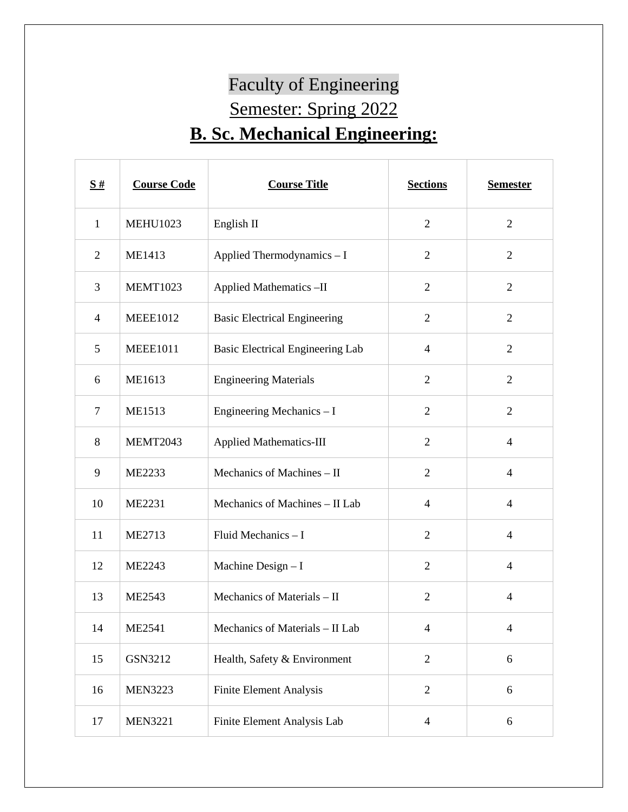## Faculty of Engineering Semester: Spring 2022 **B. Sc. Mechanical Engineering:**

| S#             | <b>Course Code</b> | <b>Course Title</b>                     | <b>Sections</b> | <b>Semester</b> |
|----------------|--------------------|-----------------------------------------|-----------------|-----------------|
| $\mathbf{1}$   | <b>MEHU1023</b>    | English II                              | $\overline{2}$  | $\overline{2}$  |
| $\overline{2}$ | ME1413             | Applied Thermodynamics - I              | $\overline{2}$  | $\overline{2}$  |
| 3              | <b>MEMT1023</b>    | Applied Mathematics-II                  | $\overline{2}$  | $\overline{2}$  |
| $\overline{4}$ | <b>MEEE1012</b>    | <b>Basic Electrical Engineering</b>     | $\overline{2}$  | $\overline{2}$  |
| 5              | <b>MEEE1011</b>    | <b>Basic Electrical Engineering Lab</b> | $\overline{4}$  | $\overline{2}$  |
| 6              | ME1613             | <b>Engineering Materials</b>            | $\overline{2}$  | $\overline{2}$  |
| $\tau$         | <b>ME1513</b>      | Engineering Mechanics - I               | $\overline{2}$  | $\overline{2}$  |
| 8              | MEMT2043           | <b>Applied Mathematics-III</b>          | $\overline{2}$  | $\overline{4}$  |
| 9              | ME2233             | Mechanics of Machines - II              | $\overline{2}$  | $\overline{4}$  |
| 10             | ME2231             | Mechanics of Machines - II Lab          | $\overline{4}$  | $\overline{4}$  |
| 11             | ME2713             | Fluid Mechanics - I                     | $\overline{2}$  | $\overline{4}$  |
| 12             | ME2243             | Machine Design - I                      | $\overline{2}$  | $\overline{4}$  |
| 13             | <b>ME2543</b>      | Mechanics of Materials - II             | $\overline{2}$  | $\overline{4}$  |
| 14             | ME2541             | Mechanics of Materials – II Lab         | 4               | $\overline{4}$  |
| 15             | GSN3212            | Health, Safety & Environment            | $\overline{2}$  | 6               |
| 16             | <b>MEN3223</b>     | <b>Finite Element Analysis</b>          | $\overline{2}$  | $6\,$           |
| 17             | <b>MEN3221</b>     | Finite Element Analysis Lab             | $\overline{4}$  | 6               |